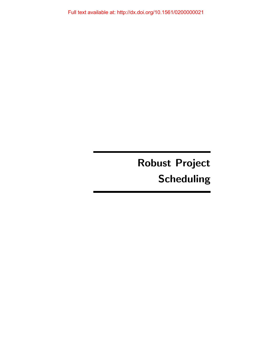Robust Project Scheduling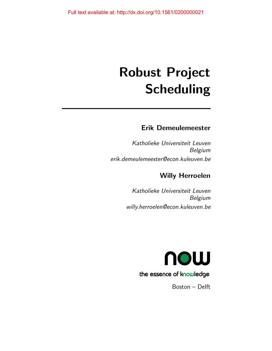# Robust Project Scheduling

### Erik Demeulemeester

Katholieke Universiteit Leuven Belgium erik.demeulemeester@econ.kuleuven.be

### Willy Herroelen

Katholieke Universiteit Leuven Belgium willy.herroelen@econ.kuleuven.be



Boston – Delft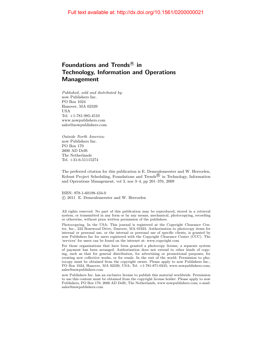### Foundations and Trends ${}^{\text{\textregistered}}$  in Technology, Information and Operations Management

Published, sold and distributed by: now Publishers Inc. PO Box 1024 Hanover, MA 02339 USA Tel. +1-781-985-4510 www.nowpublishers.com sales@nowpublishers.com

Outside North America: now Publishers Inc. PO Box 179 2600 AD Delft The Netherlands Tel. +31-6-51115274

The preferred citation for this publication is E. Demeulemeester and W. Herroelen, Robust Project Scheduling, Foundations and Trends<sup>®</sup> in Technology, Information and Operations Management, vol 3, nos 3–4, pp 201–376, 2009

ISBN: 978-1-60198-434-0 c 2011 E. Demeulemeester and W. Herroelen

All rights reserved. No part of this publication may be reproduced, stored in a retrieval system, or transmitted in any form or by any means, mechanical, photocopying, recording or otherwise, without prior written permission of the publishers.

Photocopying. In the USA: This journal is registered at the Copyright Clearance Center, Inc., 222 Rosewood Drive, Danvers, MA 01923. Authorization to photocopy items for internal or personal use, or the internal or personal use of specific clients, is granted by now Publishers Inc for users registered with the Copyright Clearance Center (CCC). The 'services' for users can be found on the internet at: www.copyright.com

For those organizations that have been granted a photocopy license, a separate system of payment has been arranged. Authorization does not extend to other kinds of copying, such as that for general distribution, for advertising or promotional purposes, for creating new collective works, or for resale. In the rest of the world: Permission to photocopy must be obtained from the copyright owner. Please apply to now Publishers Inc., PO Box 1024, Hanover, MA 02339, USA; Tel. +1-781-871-0245; www.nowpublishers.com; sales@nowpublishers.com

now Publishers Inc. has an exclusive license to publish this material worldwide. Permission to use this content must be obtained from the copyright license holder. Please apply to now Publishers, PO Box 179, 2600 AD Delft, The Netherlands, www.nowpublishers.com; e-mail: sales@nowpublishers.com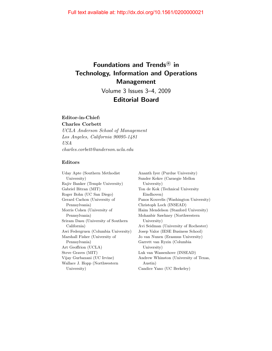## Foundations and Trends<sup>®</sup> in Technology, Information and Operations Management

Volume 3 Issues 3–4, 2009

#### Editorial Board

#### Editor-in-Chief: Charles Corbett

UCLA Anderson School of Management Los Angeles, California 90095-1481 USA charles.corbett@anderson.ucla.edu

#### Editors

Uday Apte (Southern Methodist University) Rajiv Banker (Temple University) Gabriel Bitran (MIT) Roger Bohn (UC San Diego) Gerard Cachon (University of Pennsylvania) Morris Cohen (University of Pennsylvania) Sriram Dasu (University of Southern California) Awi Federgruen (Columbia University) Marshall Fisher (University of Pennsylvania) Art Geoffrion (UCLA) Steve Graves (MIT) Vijay Gurbaxani (UC Irvine) Wallace J. Hopp (Northwestern University)

Ananth Iyer (Purdue University) Sunder Kekre (Carnegie Mellon University) Ton de Kok (Technical University Eindhoven) Panos Kouvelis (Washington University) Christoph Loch (INSEAD) Haim Mendelson (Stanford University) Mohanbir Sawhney (Northwestern University) Avi Seidman (University of Rochester) Josep Valor (IESE Business School) Jo van Nunen (Erasmus University) Garrett van Ryzin (Columbia University) Luk van Wassenhove (INSEAD) Andrew Whinston (University of Texas, Austin) Candice Yano (UC Berkeley)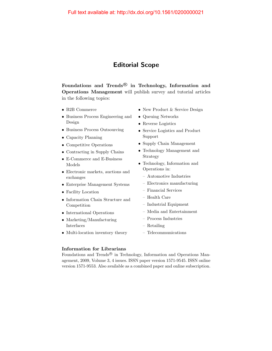### Editorial Scope

Foundations and Trends $^{\circledR}$  in Technology, Information and Operations Management will publish survey and tutorial articles in the following topics:

- B2B Commerce
- Business Process Engineering and Design
- Business Process Outsourcing
- Capacity Planning
- Competitive Operations
- Contracting in Supply Chains
- E-Commerce and E-Business Models
- Electronic markets, auctions and exchanges
- Enterprise Management Systems
- Facility Location
- Information Chain Structure and Competition
- International Operations
- Marketing/Manufacturing Interfaces
- Multi-location inventory theory
- New Product & Service Design
- Queuing Networks
- Reverse Logistics
- Service Logistics and Product Support
- Supply Chain Management
- Technology Management and Strategy
- Technology, Information and Operations in:
	- Automotive Industries
	- Electronics manufacturing
	- Financial Services
	- Health Care
	- Industrial Equipment
	- Media and Entertainment
	- Process Industries
	- Retailing
	- Telecommunications

#### Information for Librarians

Foundations and Trends<sup>®</sup> in Technology, Information and Operations Management, 2009, Volume 3, 4 issues. ISSN paper version 1571-9545. ISSN online version 1571-9553. Also available as a combined paper and online subscription.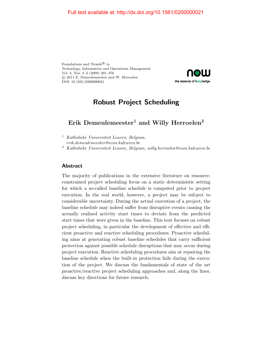Foundations and Trends<br> $^{\circledR}$  in Technology, Information and Operations Management Vol. 3, Nos. 3–4 (2009) 201–376 c 2011 E. Demeulemeester and W. Herroelen DOI: 10.1561/0200000021



### Robust Project Scheduling

### Erik Demeulemeester<sup>1</sup> and Willy Herroelen<sup>2</sup>

<sup>1</sup> Katholieke Universiteit Leuven, Belgium,

erik.demeulemeester@econ.kuleuven.be

<sup>2</sup> Katholieke Universiteit Leuven, Belgium, willy.herroelen@econ.kuleuven.be

#### Abstract

The majority of publications in the extensive literature on resourceconstrained project scheduling focus on a static deterministic setting for which a so-called baseline schedule is computed prior to project execution. In the real world, however, a project may be subject to considerable uncertainty. During the actual execution of a project, the baseline schedule may indeed suffer from disruptive events causing the actually realized activity start times to deviate from the predicted start times that were given in the baseline. This text focuses on robust project scheduling, in particular the development of effective and efficient proactive and reactive scheduling procedures. Proactive scheduling aims at generating robust baseline schedules that carry sufficient protection against possible schedule disruptions that may occur during project execution. Reactive scheduling procedures aim at repairing the baseline schedule when the built-in protection fails during the execution of the project. We discuss the fundamentals of state of the art proactive/reactive project scheduling approaches and, along the lines, discuss key directions for future research.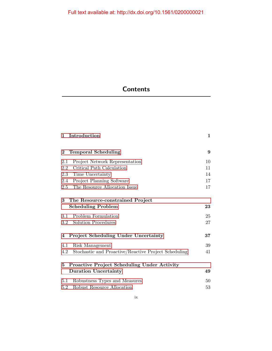### **Contents**

| Introduction<br>$\mathbf{1}$                                       | $\mathbf{1}$ |
|--------------------------------------------------------------------|--------------|
| <b>Temporal Scheduling</b><br>$\mathbf{2}$                         | 9            |
| 2.1<br>Project Network Representation                              | 10           |
| Critical Path Calculation<br>$2.2\,$                               | 11           |
| 2.3<br>Time Uncertainty                                            | 14           |
| Project Planning Software<br>$2.4\,$                               | 17           |
| The Resource Allocation Issue<br>2.5                               | 17           |
| 3<br>The Resource-constrained Project<br><b>Scheduling Problem</b> | 23           |
| Problem Formulation<br>3.1                                         | 25           |
| 3.2 Solution Procedures                                            | 27           |
| <b>Project Scheduling Under Uncertainty</b><br>4                   | 37           |
| Risk Management<br>4.1                                             | 39           |
| Stochastic and Proactive/Reactive Project Scheduling<br>4.2        | 41           |
| <b>Proactive Project Scheduling Under Activity</b><br>5            |              |
| <b>Duration Uncertainty</b>                                        | 49           |
| Robustness Types and Measures<br>5.1                               | 50           |
| Robust Resource Allocation<br>5.2                                  | 53           |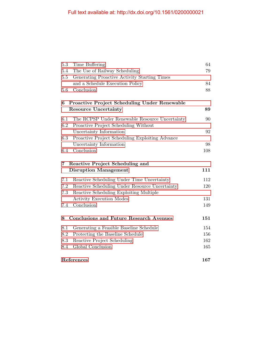| 5.3     | Time Buffering                                      | 64  |
|---------|-----------------------------------------------------|-----|
| 5.4     | The Use of Railway Scheduling                       | 79  |
| $5.5\,$ | Generating Proactive Activity Starting Times        |     |
|         | and a Schedule Execution Policy                     | 84  |
| 5.6     | Conclusion                                          | 88  |
| 6       | <b>Proactive Project Scheduling Under Renewable</b> |     |
|         | <b>Resource Uncertainty</b>                         | 89  |
| 6.1     | The RCPSP Under Renewable Resource Uncertainty      | 90  |
| 6.2     | Proactive Project Scheduling Without                |     |
|         | Uncertainty Information                             | 92  |
| 6.3     | Proactive Project Scheduling Exploiting Advance     |     |
|         | Uncertainty Information                             | 98  |
| 6.4     | Conclusion                                          | 108 |
| 7       | Reactive Project Scheduling and                     |     |
|         | <b>Disruption Management</b>                        | 111 |
|         |                                                     |     |
| 7.1     | Reactive Scheduling Under Time Uncertainty          | 112 |
| 7.2     | Reactive Scheduling Under Resource Uncertainty      | 120 |
| 7.3     | Reactive Scheduling Exploiting Multiple             |     |
|         | <b>Activity Execution Modes</b>                     | 131 |
| 7.4     | Conclusion                                          | 149 |
| 8       | <b>Conclusions and Future Research Avenues</b>      | 151 |
| 8.1     | Generating a Feasible Baseline Schedule             | 154 |
| 8.2     | Protecting the Baseline Schedule                    | 156 |
| 8.3     | Reactive Project Scheduling                         | 162 |
| 8.4     | Global Conclusion                                   | 165 |
|         | References                                          | 167 |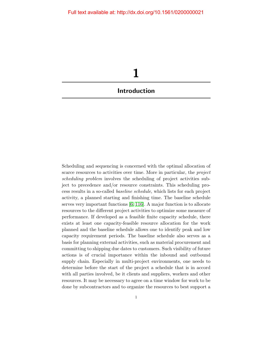<span id="page-8-0"></span>

Scheduling and sequencing is concerned with the optimal allocation of scarce resources to activities over time. More in particular, the *project* scheduling problem involves the scheduling of project activities subject to precedence and/or resource constraints. This scheduling process results in a so-called baseline schedule, which lists for each project activity, a planned starting and finishing time. The baseline schedule serves very important functions [\[6,](#page-16-1) [116\]](#page-23-0). A major function is to allocate resources to the different project activities to optimize some measure of performance. If developed as a feasible finite capacity schedule, there exists at least one capacity-feasible resource allocation for the work planned and the baseline schedule allows one to identify peak and low capacity requirement periods. The baseline schedule also serves as a basis for planning external activities, such as material procurement and committing to shipping due dates to customers. Such visibility of future actions is of crucial importance within the inbound and outbound supply chain. Especially in multi-project environments, one needs to determine before the start of the project a schedule that is in accord with all parties involved, be it clients and suppliers, workers and other resources. It may be necessary to agree on a time window for work to be done by subcontractors and to organize the resources to best support a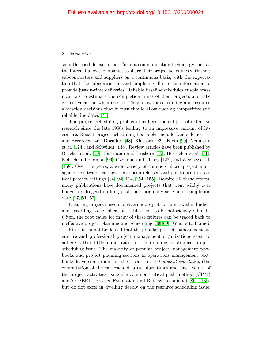#### 2 Introduction

smooth schedule execution. Current communication technology such as the Internet allows companies to share their project schedules with their subcontractors and suppliers on a continuous basis, with the expectation that the subcontractors and suppliers will use this information to provide just-in-time deliveries. Reliable baseline schedules enable organizations to estimate the completion times of their projects and take corrective action when needed. They allow for scheduling and resource allocation decisions that in turn should allow quoting competitive and reliable due dates [\[75\]](#page-21-0).

The project scheduling problem has been the subject of extensive research since the late 1950s leading to an impressive amount of literature. Recent project scheduling textbooks include Demeulemeester and Herroelen [\[46\]](#page-19-0), Dorndorf [\[48\]](#page-19-1), Klastorin [\[89\]](#page-21-1), Klein [\[90\]](#page-21-2), Neumann et al. [\[124\]](#page-24-0), and Schwindt [\[145\]](#page-25-0). Review articles have been published by Brucker et al. [\[19\]](#page-17-0), Hartmann and Briskorn [\[65\]](#page-20-0), Herroelen et al. [\[71\]](#page-20-1), Kolisch and Padman [\[96\]](#page-22-0), Ozdamar and Ulusoy [\[127\]](#page-24-1), and Weglarz et al. [\[168\]](#page-26-0). Over the years, a wide variety of commercialized project management software packages have been released and put to use in practical project settings [\[34,](#page-18-0) [94,](#page-22-1) [114,](#page-23-1) [154,](#page-25-1) [155\]](#page-25-2). Despite all these efforts, many publications have documented projects that went wildly over budget or dragged on long past their originally scheduled completion date [\[17,](#page-17-1) [51,](#page-19-2) [52\]](#page-19-3).

Ensuring project success, delivering projects on time, within budget and according to specifications, still seems to be notoriously difficult. Often, the root cause for many of these failures can be traced back to ineffective project planning and scheduling [\[39,](#page-18-1) [69\]](#page-20-2). Who is to blame?

First, it cannot be denied that the popular project management literature and professional project management organizations seem to adhere rather little importance to the resource-constrained project scheduling issue. The majority of popular project management textbooks and project planning sections in operations management textbooks leave some room for the discussion of temporal scheduling (the computation of the earliest and latest start times and slack values of the project activities using the common critical path method (CPM) and/or PERT (Project Evaluation and Review Technique) [\[86,](#page-21-3) [113\]](#page-23-2)), but do not excel in dwelling deeply on the resource scheduling issue.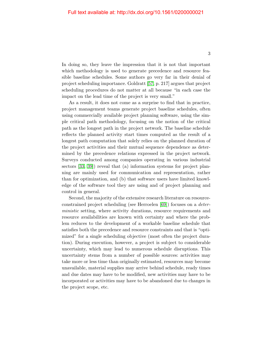In doing so, they leave the impression that it is not that important which methodology is used to generate precedence and resource feasible baseline schedules. Some authors go very far in their denial of project scheduling importance. Goldratt [\[57,](#page-20-3) p. 217] argues that project scheduling procedures do not matter at all because "in each case the impact on the lead time of the project is very small."

As a result, it does not come as a surprise to find that in practice, project management teams generate project baseline schedules, often using commercially available project planning software, using the simple critical path methodology, focusing on the notion of the critical path as the longest path in the project network. The baseline schedule reflects the planned activity start times computed as the result of a longest path computation that solely relies on the planned duration of the project activities and their mutual sequence dependence as determined by the precedence relations expressed in the project network. Surveys conducted among companies operating in various industrial sectors [\[33,](#page-18-2) [39\]](#page-18-1)) reveal that (a) information systems for project planning are mainly used for communication and representation, rather than for optimization, and (b) that software users have limited knowledge of the software tool they are using and of project planning and control in general.

Second, the majority of the extensive research literature on resourceconstrained project scheduling (see Herroelen [\[69\]](#page-20-2)) focuses on a deterministic setting, where activity durations, resource requirements and resource availabilities are known with certainty and where the problem reduces to the development of a workable baseline schedule that satisfies both the precedence and resource constraints and that is "optimized" for a single scheduling objective (most often the project duration). During execution, however, a project is subject to considerable uncertainty, which may lead to numerous schedule disruptions. This uncertainty stems from a number of possible sources: activities may take more or less time than originally estimated, resources may become unavailable, material supplies may arrive behind schedule, ready times and due dates may have to be modified, new activities may have to be incorporated or activities may have to be abandoned due to changes in the project scope, etc.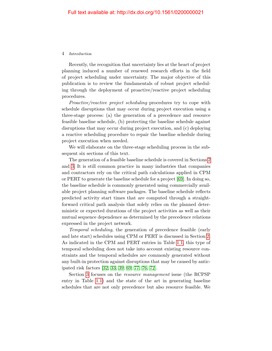#### 4 Introduction

Recently, the recognition that uncertainty lies at the heart of project planning induced a number of renewed research efforts in the field of project scheduling under uncertainty. The major objective of this publication is to review the fundamentals of robust project scheduling through the deployment of proactive/reactive project scheduling procedures.

Proactive/reactive project scheduling procedures try to cope with schedule disruptions that may occur during project execution using a three-stage process: (a) the generation of a precedence and resource feasible baseline schedule, (b) protecting the baseline schedule against disruptions that may occur during project execution, and (c) deploying a reactive scheduling procedure to repair the baseline schedule during project execution when needed.

We will elaborate on the three-stage scheduling process in the subsequent six sections of this text.

The generation of a feasible baseline schedule is covered in Sections [2](#page--1-0) and [3.](#page--1-0) It is still common practice in many industries that companies and contractors rely on the critical path calculations applied in CPM or PERT to generate the baseline schedule for a project [\[69\]](#page-20-2). In doing so, the baseline schedule is commonly generated using commercially available project planning software packages. The baseline schedule reflects predicted activity start times that are computed through a straightforward critical path analysis that solely relies on the planned deterministic or expected durations of the project activities as well as their mutual sequence dependence as determined by the precedence relations expressed in the project network.

Temporal scheduling, the generation of precedence feasible (early and late start) schedules using CPM or PERT is discussed in Section [2.](#page--1-0) As indicated in the CPM and PERT entries in Table [1.1,](#page-13-0) this type of temporal scheduling does not take into account existing resource constraints and the temporal schedules are commonly generated without any built-in protection against disruptions that may be caused by anticipated risk factors [\[32,](#page-18-3) [33,](#page-18-2) [39,](#page-18-1) [69,](#page-20-2) [77,](#page-21-4) [76,](#page-21-5) [72\]](#page-20-4).

Section [3](#page--1-0) focuses on the *resource management* issue (the RCPSP entry in Table [1.1\)](#page-13-0) and the state of the art in generating baseline schedules that are not only precedence but also resource feasible. We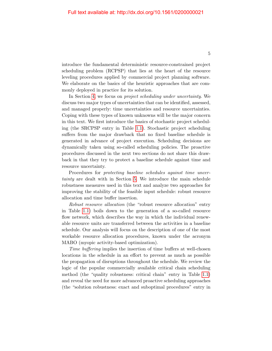introduce the fundamental deterministic resource-constrained project scheduling problem (RCPSP) that lies at the heart of the resource leveling procedures applied by commercial project planning software. We elaborate on the basics of the heuristic approaches that are commonly deployed in practice for its solution.

In Section [4,](#page--1-0) we focus on *project scheduling under uncertainty*. We discuss two major types of uncertainties that can be identified, assessed, and managed properly: time uncertainties and resource uncertainties. Coping with these types of known unknowns will be the major concern in this text. We first introduce the basics of stochastic project scheduling (the SRCPSP entry in Table [1.1\)](#page-13-0). Stochastic project scheduling suffers from the major drawback that no fixed baseline schedule is generated in advance of project execution. Scheduling decisions are dynamically taken using so-called scheduling policies. The proactive procedures discussed in the next two sections do not share this drawback in that they try to protect a baseline schedule against time and resource uncertainty.

Procedures for protecting baseline schedules against time uncertainty are dealt with in Section [5.](#page--1-0) We introduce the main schedule robustness measures used in this text and analyze two approaches for improving the stability of the feasible input schedule: robust resource allocation and time buffer insertion.

Robust resource allocation (the "robust resource allocation" entry in Table [1.1\)](#page-13-0) boils down to the generation of a so-called resource flow network, which describes the way in which the individual renewable resource units are transferred between the activities in a baseline schedule. Our analysis will focus on the description of one of the most workable resource allocation procedures, known under the acronym MABO (myopic activity-based optimization).

Time buffering implies the insertion of time buffers at well-chosen locations in the schedule in an effort to prevent as much as possible the propagation of disruptions throughout the schedule. We review the logic of the popular commercially available critical chain scheduling method (the "quality robustness: critical chain" entry in Table [1.1\)](#page-13-0) and reveal the need for more advanced proactive scheduling approaches (the "solution robustness: exact and suboptimal procedures" entry in

5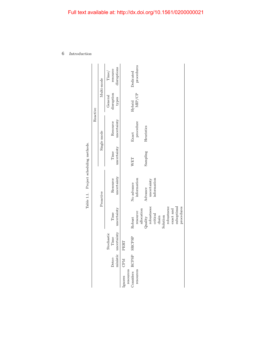<span id="page-13-0"></span>6 Introduction

|          | Multi-mode  | disruptions<br>resource<br>Time/           | procedures<br>Dedicated                                                                                                                                                              |
|----------|-------------|--------------------------------------------|--------------------------------------------------------------------------------------------------------------------------------------------------------------------------------------|
| Reactive |             | disruption<br>General<br>types             | MIP/CP<br>Hybrid                                                                                                                                                                     |
|          | Single mode | uncertainty<br>Resource                    | procedure<br>Heuristics<br>Exact                                                                                                                                                     |
|          |             | uncertainty<br>Time                        | Sampling<br>WET                                                                                                                                                                      |
|          | Proactive   | uncertainty<br>Resource                    | information<br>information<br>uncertainty<br>No advance<br>Advance                                                                                                                   |
|          |             | uncertainty<br>Time                        | robustness:<br>suboptimal<br>robustness:<br>procedures<br>exact and<br>allocation<br>resource<br>critical<br>$\mathop{\rm Quality}\nolimits$<br>Solution<br>$_{\rm chain}$<br>Robust |
|          |             | ministic uncertainty<br>Stochastic<br>Time | <b>SRCPSP</b><br>PERT                                                                                                                                                                |
|          |             | Deter-                                     | CPM                                                                                                                                                                                  |
|          |             |                                            | Considers RCPSP<br>resources<br>resources<br>Ignores                                                                                                                                 |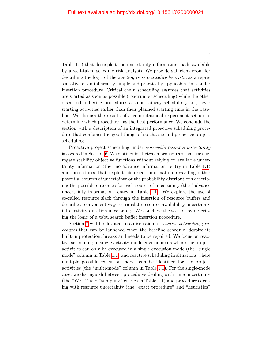Table [1.1\)](#page-13-0) that do exploit the uncertainty information made available by a well-taken schedule risk analysis. We provide sufficient room for describing the logic of the starting time criticality heuristic as a representative of an inherently simple and practically applicable time buffer insertion procedure. Critical chain scheduling assumes that activities are started as soon as possible (roadrunner scheduling) while the other discussed buffering procedures assume railway scheduling, i.e., never starting activities earlier than their planned starting time in the baseline. We discuss the results of a computational experiment set up to determine which procedure has the best performance. We conclude the section with a description of an integrated proactive scheduling procedure that combines the good things of stochastic and proactive project scheduling.

Proactive project scheduling under *renewable resource uncertainty* is covered in Section [6.](#page--1-0) We distinguish between procedures that use surrogate stability objective functions without relying on available uncertainty information (the "no advance information" entry in Table [1.1\)](#page-13-0) and procedures that exploit historical information regarding either potential sources of uncertainty or the probability distributions describing the possible outcomes for each source of uncertainty (the "advance uncertainty information" entry in Table [1.1\)](#page-13-0). We explore the use of so-called resource slack through the insertion of resource buffers and describe a convenient way to translate resource availability uncertainty into activity duration uncertainty. We conclude the section by describing the logic of a tabu search buffer insertion procedure.

Section [7](#page--1-0) will be devoted to a discussion of *reactive scheduling pro*cedures that can be launched when the baseline schedule, despite its built-in protection, breaks and needs to be repaired. We focus on reactive scheduling in single activity mode environments where the project activities can only be executed in a single execution mode (the "single mode" column in Table [1.1\)](#page-13-0) and reactive scheduling in situations where multiple possible execution modes can be identified for the project activities (the "multi-mode" column in Table [1.1\)](#page-13-0). For the single-mode case, we distinguish between procedures dealing with time uncertainty (the "WET" and "sampling" entries in Table [1.1\)](#page-13-0) and procedures dealing with resource uncertainty (the "exact procedure" and "heuristics"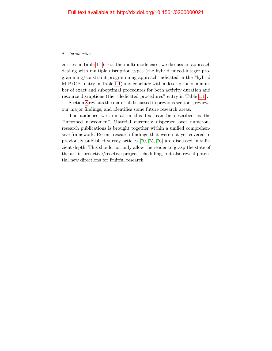#### 8 Introduction

entries in Table [1.1\)](#page-13-0). For the multi-mode case, we discuss an approach dealing with multiple disruption types (the hybrid mixed-integer programming/constraint programming approach indicated in the "hybrid MIP/CP" entry in Table [1.1\)](#page-13-0) and conclude with a description of a number of exact and suboptimal procedures for both activity duration and resource disruptions (the "dedicated procedures" entry in Table [1.1\)](#page-13-0).

Section [8](#page--1-0) revisits the material discussed in previous sections, reviews our major findings, and identifies some future research areas.

The audience we aim at in this text can be described as the "informed newcomer." Material currently dispersed over numerous research publications is brought together within a unified comprehensive framework. Recent research findings that were not yet covered in previously published survey articles [\[70,](#page-20-5) [75,](#page-21-0) [76\]](#page-21-5) are discussed in sufficient depth. This should not only allow the reader to grasp the state of the art in proactive/reactive project scheduling, but also reveal potential new directions for fruitful research.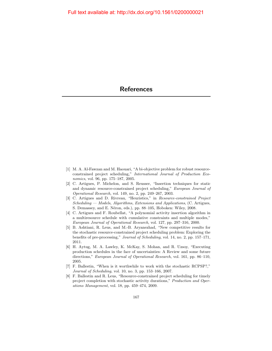- <span id="page-16-0"></span>[1] M. A. Al-Fawzan and M. Haouari, "A bi-objective problem for robust resourceconstrained project scheduling," International Journal of Production Economics, vol. 96, pp. 175–187, 2005.
- [2] C. Artigues, P. Michelon, and S. Reusser, "Insertion techniques for static and dynamic resource-constrained project scheduling," European Journal of Operational Research, vol. 149, no. 2, pp. 249–267, 2003.
- [3] C. Artigues and D. Rivreau, "Heuristics," in Resource-constrained Project Scheduling — Models, Algorithms, Extensions and Applications, (C. Artigues, S. Demassey, and E. Néron, eds.), pp. 88–105, Hoboken: Wiley, 2008.
- [4] C. Artigues and F. Roubellat, "A polynomial activity insertion algorithm in a multiresource schedule with cumulative constraints and multiple modes," European Journal of Operational Research, vol. 127, pp. 297–316, 2000.
- [5] B. Ashtiani, R. Leus, and M.-B. Aryanezhad, "New competitive results for the stochastic resource-constrained project scheduling problem: Exploring the benefits of pre-processing," Journal of Scheduling, vol. 14, no. 2, pp. 157–171, 2011.
- <span id="page-16-1"></span>[6] H. Aytug, M. A. Lawley, K. McKay, S. Mohan, and R. Uzsoy, "Executing production schedules in the face of uncertainties: A Review and some future directions," European Journal of Operational Research, vol. 161, pp. 86–110, 2005.
- [7] F. Ballestin, "When is it worthwhile to work with the stochastic RCPSP?," Journal of Scheduling, vol. 10, no. 3, pp. 153–166, 2007.
- [8] F. Ballestin and R. Leus, "Resource-constrained project scheduling for timely project completion with stochastic activity durations," Production and Operations Management, vol. 18, pp. 459–474, 2009.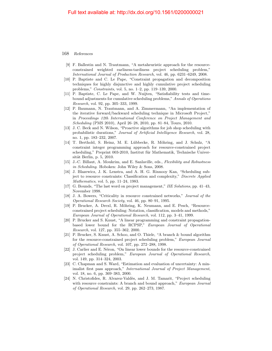- [9] F. Ballestin and N. Trautmann, "A metaheuristic approach for the resourceconstrained weighted earliness-tardiness project scheduling problem," International Journal of Production Research, vol. 46, pp. 6231–6249, 2008.
- [10] P. Baptiste and C. Le Pape, "Constraint propagation and decomposition techniques for highly disjunctive and highly cumulative project scheduling problems," Constraints, vol. 5, no. 1–2, pp. 119–139, 2000.
- [11] P. Baptiste, C. Le Pape, and W. Nuijten, "Satisfiability tests and timebound adjustments for cumulative scheduling problems," Annals of Operations Research, vol. 92, pp. 305–333, 1999.
- [12] P. Baumann, N. Trautmann, and A. Zimmermann, "An implementation of the iterative forward/backward scheduling technique in Microsoft Project," in Proceedings 12th International Conference on Project Management and Scheduling (PMS 2010), April 26–28, 2010, pp. 81–84, Tours, 2010.
- [13] J. C. Beck and N. Wilson, "Proactive algorithms for job shop scheduling with probabilistic durations," Journal of Artificial Intelligence Research, vol. 28, no. 1, pp. 183–232, 2007.
- [14] T. Berthold, S. Heinz, M. E. Lübbecke, R. Möhring, and J. Schulz, "A constraint integer programming approach for resource-constrained project scheduling," Preprint 003-2010, Institut für Mathematik, Technische Universität Berlin, p.  $5, 2010$ .
- [15] J.-C. Billaut, A. Moukrim, and E. Sanlaville, eds., Flexibility and Robustness in Scheduling. Hoboken: John Wiley & Sons, 2008.
- [16] J. Blazewicz, J. K. Lenstra, and A. H. G. Rinnooy Kan, "Scheduling subject to resource constraints: Classification and complexity," Discrete Applied Mathematics, vol. 5, pp. 11–24, 1983.
- <span id="page-17-1"></span>[17] G. Bounds, "The last word on project management," IIE Solutions, pp. 41–43, November 1998.
- [18] J. A. Bowers, "Criticality in resource constrained networks," Journal of the Operational Research Society, vol. 46, pp. 80–91, 1995.
- <span id="page-17-0"></span>[19] P. Brucker, A. Drexl, R. Möhring, K. Neumann, and E. Pesch, "Resourceconstrained project scheduling: Notation, classification, models and methods," European Journal of Operational Research, vol. 112, pp. 3–41, 1999.
- [20] P. Brucker and S. Knust, "A linear programming and constraint propagationbased lower bound for the RCPSP," European Journal of Operational Research, vol. 127, pp. 355–362, 2000.
- [21] P. Brucker, S. Knust, A. Schoo, and O. Thiele, "A branch & bound algorithm for the resource-constrained project scheduling problem," European Journal of Operational Research, vol. 107, pp. 272–288, 1998.
- [22] J. Carlier and E. Néron, "On linear lower bounds for the resource-constrained project scheduling problem," European Journal of Operational Research, vol. 149, pp. 314–324, 2003.
- [23] C. Chapman and S. Ward, "Estimation and evaluation of uncertainty: A minimalist first pass approach," International Journal of Project Management, vol. 18, no. 6, pp. 369–383, 2000.
- [24] N. Christofides, R. Alvarez-Valdès, and J. M. Tamarit, "Project scheduling with resource constraints: A branch and bound approach," European Journal of Operational Research, vol. 29, pp. 262–273, 1987.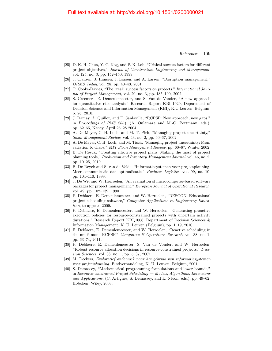- [25] D. K. H. Chua, Y. C. Kog, and P. K. Loh, "Critical success factors for different project objectives," Journal of Construction Engineering and Management, vol. 125, no. 3, pp. 142–150, 1999.
- [26] J. Clausen, J. Hansen, J. Larsen, and A. Larsen, "Disruption management," ORMS Today, vol. 28, pp. 40–43, 2001.
- [27] T. Cooke-Davies, "The "real" success factors on projects," International Journal of Project Management, vol. 20, no. 3, pp. 185–190, 2002.
- [28] S. Creemers, E. Demeulemeester, and S. Van de Vonder, "A new approach for quantitative risk analysis," Research Report KBI 1029, Department of Decision Sciences and Information Management (KBI), K.U.Leuven, Belgium, p. 26, 2010.
- [29] J. Damay, A. Quillot, and E. Sanlaville, "RCPSP: New approach, new gaps," in Proceedings of PMS 2004, (A. Oulamara and M.-C. Portmann, eds.), pp. 62–65, Nancy, April 26–28 2004.
- [30] A. De Meyer, C. H. Loch, and M. T. Pich, "Managing project uncertainty," Sloan Management Review, vol. 43, no. 2, pp. 60–67, 2002.
- [31] A. De Meyer, C. H. Loch, and M. Tisch, "Managing project uncertainty: From variation to chaos," MIT Sloan Management Review, pp. 60–67, Winter 2002.
- <span id="page-18-3"></span>[32] B. De Reyck, "Creating effective project plans: Making the most of project planning tools," Production and Inventory Management Journal, vol. 46, no. 2, pp. 10–25, 2010.
- <span id="page-18-2"></span>[33] B. De Reyck and S. van de Velde, "Informatiesystemen voor projectplanning: Meer communicatie dan optimalisatie," Business Logistics, vol. 99, no. 10, pp. 104–110, 1999.
- <span id="page-18-0"></span>[34] J. De Wit and W. Herroelen, "An evaluation of microcomputer-based software packages for project management," European Journal of Operational Research, vol. 49, pp. 102–139, 1990.
- [35] F. Deblaere, E. Demeulemeester, and W. Herroelen, "RESCON: Educational project scheduling software," Computer Applications in Engineering Education, to appear, 2009.
- [36] F. Deblaere, E. Demeulemeester, and W. Herroelen, "Generating proactive execution policies for resource-constrained projects with uncertain activity durations," Research Report KBI 1006, Department of Decision Sciences & Information Management, K. U. Leuven (Belgium), pp. 1–19, 2010.
- [37] F. Deblaere, E. Demeulemeester, and W. Herroelen, "Reactive scheduling in the multi-mode RCPSP," Computers & Operations Research, vol. 38, no. 1, pp. 63–74, 2011.
- [38] F. Deblaere, E. Demeulemeester, S. Van de Vonder, and W. Herroelen, "Robust resource allocation decisions in resource-constrained projects," Decision Sciences, vol. 38, no. 1, pp. 5–37, 2007.
- <span id="page-18-1"></span>[39] M. Deckers, Exploratief onderzoek naar het gebruik van informatiesystemen voor projectplanning. Eindverhandeling, K. U. Leuven, Belgium, 2001.
- [40] S. Demassey, "Mathematical programming formulations and lower bounds," in Resource-constrained Project Scheduling — Models, Algorithms, Extensions and Applications,  $(C.$  Artigues, S. Demassey, and E. Néron, eds.), pp.  $49–62$ , Hoboken: Wiley, 2008.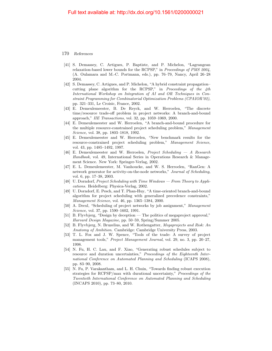- [41] S. Demassey, C. Artigues, P. Baptiste, and P. Michelon, "Lagrangean relaxation-based lower bounds for the RCPSP," in Proceedings of PMS 2004, (A. Oulamara and M.-C. Portmann, eds.), pp. 76–79, Nancy, April 26–28 2004.
- [42] S. Demassey, C. Artigues, and P. Michelon, "A hybrid constraint propagation– cutting plane algorithm for the RCPSP," in Proceedings of the 4th International Workshop on Integration of AI and OR Techniques in Constraint Programming for Combinatorial Optimization Problems (CPAIOR'02), pp. 321–331, Le Croisic, France, 2002.
- [43] E. Demeulemeester, B. De Reyck, and W. Herroelen, "The discrete time/resource trade-off problem in project networks: A branch-and-bound approach," IIE Transactions, vol. 32, pp. 1059–1069, 2000.
- [44] E. Demeulemeester and W. Herroelen, "A branch-and-bound procedure for the multiple resource-constrained project scheduling problem," Management Science, vol. 38, pp. 1803–1818, 1992.
- [45] E. Demeulemeester and W. Herroelen, "New benchmark results for the resource-constrained project scheduling problem," Management Science, vol. 43, pp. 1485–1492, 1997.
- <span id="page-19-0"></span>[46] E. Demeulemeester and W. Herroelen, Project Scheduling — A Research Handbook, vol. 49, International Series in Operations Research & Management Science. New York: Springer-Verlag, 2002.
- [47] E. L. Demeulemeester, M. Vanhoucke, and W. S. Herroelen, "RanGen: A network generator for activity-on-the-node networks," Journal of Scheduling, vol. 6, pp. 17–38, 2003.
- <span id="page-19-1"></span>[48] U. Dorndorf, Project Scheduling with Time Windows — From Theory to Applications. Heidelberg: Physica-Verlag, 2002.
- [49] U. Dorndorf, E. Pesch, and T. Phan-Huy, "A time-oriented branch-and-bound algorithm for project scheduling with generalized precedence constraints," Management Science, vol. 46, pp. 1365–1384, 2000.
- [50] A. Drexl, "Scheduling of project networks by job assignment," Management Science, vol. 37, pp. 1590–1602, 1991.
- <span id="page-19-2"></span>[51] B. Flyvbjerg, "Design by deception — The politics of megaproject approval," Harvard Design Magazine, pp. 50–59, Spring/Summer 2005.
- <span id="page-19-3"></span>[52] B. Flyvbjerg, N. Bruzelius, and W. Rothengatter, Megaprojects and Risk: An Anatomy of Ambition. Cambridge: Cambridge University Press, 2003.
- [53] T. L. Fox and J. W. Spence, "Tools of the trade: A survey of project management tools," Project Management Journal, vol. 29, no. 3, pp. 20–27, 1998.
- [54] N. Fu, H. C. Lau, and F. Xiao, "Generating robust schedules subject to resource and duration uncertainties," Proceedings of the Eighteenth International Conference on Automated Planning and Scheduling (ICAPS 2008), pp. 83–90, 2008.
- [55] N. Fu, P. Varakantham, and L. H. Chuin, "Towards finding robust execution strategies for RCPSP/max with durational uncertainty," Proceedings of the Twentieth International Conference on Automated Planning and Scheduling (INCAPS 2010), pp. 73–80, 2010.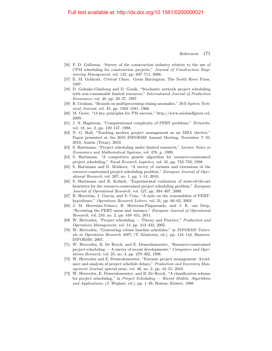- [56] P. D. Galloway, "Survey of the construction industry relative to the use of CPM scheduling for construction projects," Journal of Construction Engineering Management, vol. 132, pp. 697–711, 2006.
- <span id="page-20-3"></span>[57] E. M. Goldratt, Critical Chain. Great Barrington: The North River Press, 1997.
- [58] D. Golenko-Ginsburg and D. Gonik, "Stochastic network project scheduling with non-consumable limited resources," International Journal of Production Economics, vol. 48, pp. 29–37, 1997.
- [59] R. Graham, "Bounds on multiprocessing timing anomalies," Bell System Technical Journal, vol. 45, pp. 1563–1581, 1966.
- [60] M. Greer, "14 key principles for PM success," http://www.michaelfgreer.col, 2009.
- [61] J. N. Hagstrom, "Computational complexity of PERT problems," Networks, vol. 18, no. 2, pp. 139–147, 1988.
- [62] N. G. Hall, "Teaching modern project management as an MBA elective," Paper presented at the 2010 INFORMS Annual Meeting, November 7–10, 2010, Austin (Texas), 2010.
- [63] S. Hartmann, "Project scheduling under limited resources," Lecture Notes in Economics and Mathematical Systems, vol. 478, p. 1999.
- [64] S. Hartmann, "A competitive genetic algorithm for resource-constrained project scheduling," Naval Research Logistics, vol. 45, pp. 733–750, 1998.
- <span id="page-20-0"></span>[65] S. Hartmann and D. Briskorn, "A survey of variants and extensions of the resource-constrained project scheduling problem," European Journal of Operational Research, vol. 207, no. 1, pp. 1–14, 2010.
- [66] S. Hartmann and R. Kolisch, "Experimental evaluation of state-of-the-art heuristics for the resource-constrained project scheduling problem," *European* Journal of Operational Research, vol. 127, pp. 394–407, 2000.
- [67] R. Herrerias, J. Garcia, and S. Cruz, "A note on the reasonabless of PERThypotheses," Operations Research Letters, vol. 31, pp. 60–62, 2003.
- [68] J. M. Herrerias-Velasco, R. Herrerias-Pleguezuelo, and J. R. van Dorp, "Revisiting the PERT mean and variance," European Journal of Operational Research, vol. 210, no. 2, pp. 448–451, 2011.
- <span id="page-20-2"></span>[69] W. Herroelen, "Project scheduling — Theory and Practice," Production and Operations Management, vol. 14, pp. 413–432, 2005.
- <span id="page-20-5"></span>[70] W. Herroelen, "Generating robust baseline schedules," in INFORMS Tutorials in Operations Research 2007, (T. Klastorin, ed.), pp. 124–144, Hanover: INFORMS, 2007.
- <span id="page-20-1"></span>[71] W. Herroelen, B. De Reyck, and E. Demeulemeester, "Resource-constrained project scheduling  $- A$  survey of recent developments," Computers and Operations Research, vol. 25, no. 4, pp. 279–302, 1998.
- <span id="page-20-4"></span>[72] W. Herroelen and E. Demeulemeester, "Forensic project management: Avoidance and analysis of project schedule delays," Production and Inventory Management Journal, special issue, vol. 46, no. 2, pp. 44–55, 2010.
- [73] W. Herroelen, E. Demeulemeester, and B. De Reyck, "A classification scheme for project scheduling," in Project Scheduling — Recent Models, Algorithms and Applications, (J. Weglarz, ed.), pp. 1–26, Boston: Kluwer, 1998.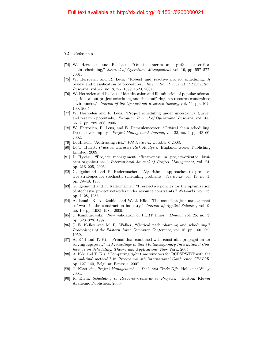- [74] W. Herroelen and R. Leus, "On the merits and pitfalls of critical chain scheduling," Journal of Operations Management, vol. 19, pp. 557–577, 2001.
- <span id="page-21-0"></span>[75] W. Herroelen and R. Leus, "Robust and reactive project scheduling: A review and classification of procedures," International Journal of Production Research, vol. 42, no. 8, pp. 1599–1620, 2004.
- <span id="page-21-5"></span>[76] W. Herroelen and R. Leus, "Identification and illumination of popular misconceptions about project scheduling and time buffering in a resource-constrained environment," Journal of the Operational Research Society, vol. 56, pp. 102– 109, 2005.
- <span id="page-21-4"></span>[77] W. Herroelen and R. Leus, "Project scheduling under uncertainty: Survey and research potentials," European Journal of Operational Research, vol. 165, no. 2, pp. 289–306, 2005.
- [78] W. Herroelen, R. Leus, and E. Demeulemeester, "Critical chain scheduling: Do not oversimplify," Project Management Journal, vol. 33, no. 4, pp. 48–60, 2002.
- [79] D. Hillson, "Addressing risk," PM Network, October 6 2003.
- [80] D. T. Hulett, Practical Schedule Risk Analysis. England: Gower Publishing Limited, 2009.
- [81] I. Hyväri, "Project management effectiveness in project-oriented business organizations," International Journal of Project Management, vol. 24, pp. 216–225, 2006.
- [82] G. Igelmund and F. Radermacher, "Algorithmic approaches to preselective strategies for stochastic scheduling problems," Networks, vol. 13, no. 1, pp. 29–48, 1983.
- [83] G. Igelmund and F. Radermacher, "Preselective policies for the optimization of stochastic project networks under resource constraints," Networks, vol. 13, pp. 1–28, 1983.
- [84] A. Ismail, K. A. Rashid, and W. J. Hilo, "The use of project management software in the construction industry," Journal of Applied Sciences, vol. 9, no. 10, pp. 1985–1989, 2009.
- [85] J. Kamburowski, "New validation of PERT times," Omega, vol. 25, no. 3, pp. 323–328, 1997.
- <span id="page-21-3"></span>[86] J. E. Kelley and M. R. Walker, "Critical path planning and scheduling," Proceedings of the Eastern Joint Computer Conference, vol. 16, pp. 160–172, 1959.
- [87] A. Kéri and T. Kis, "Primal-dual combined with constraint propagation for solving rcpspwet," in Proceedings of 2nd Multidisciplinary International Conference on Scheduling: Theory and Applications, New York, 2005.
- [88] A. Kéri and T. Kis, "Computing tight time windows for RCPSPWET with the primal-dual method," in Proceedings 4th International Conference CPAIOR, pp. 127–140, Belgium: Brussels, 2007.
- <span id="page-21-1"></span>[89] T. Klastorin, Project Management — Tools and Trade-Offs. Hoboken: Wiley, 2004.
- <span id="page-21-2"></span>[90] R. Klein, Scheduling of Resource-Constrained Projects. Boston: Kluwer Academic Publishers, 2000.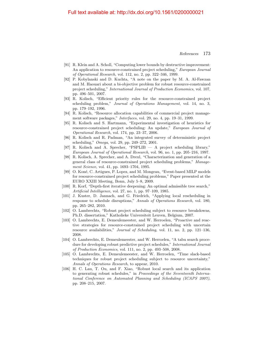- [91] R. Klein and A. Scholl, "Computing lower bounds by destructive improvement: An application to resource-constrained project scheduling," European Journal of Operational Research, vol. 112, no. 2, pp. 322–346, 1999.
- [92] P. Kobylanski and D. Kuchta, "A note on the paper by M. A. Al-Fawzan and M. Haouari about a bi-objective problem for robust resource-constrained project scheduling," International Journal of Production Economics, vol. 107, pp. 496–501, 2007.
- [93] R. Kolisch, "Efficient priority rules for the resource-constrained project scheduling problem," Journal of Operations Management, vol. 14, no. 3, pp. 179–192, 1996.
- <span id="page-22-1"></span>[94] R. Kolisch, "Resource allocation capabilities of commercial project management software packages," Interfaces, vol. 29, no. 4, pp. 19–31, 1999.
- [95] R. Kolisch and S. Hartmann, "Experimental investigation of heuristics for resource-constrained project scheduling: An update," European Journal of Operational Research, vol. 174, pp. 23–37, 2006.
- <span id="page-22-0"></span>[96] R. Kolisch and R. Padman, "An integrated survey of deterministic project scheduling," Omega, vol. 29, pp. 249–272, 2001.
- [97] R. Kolisch and A. Sprecher, "PSPLIB A project scheduling library," European Journal of Operational Research, vol. 96, no. 1, pp. 205–216, 1997.
- [98] R. Kolisch, A. Sprecher, and A. Drexl, "Characterization and generation of a general class of resource-constrained project scheduling problems," Management Science, vol. 41, pp. 1693–1704, 1995.
- [99] O. Koné, C. Artigues, P. Lopez, and M. Mongeau, "Event-based MILP models for resource-constrained project scheduling problems," Paper presented at the EURO XXIII Meeting, Bonn, July 5–8, 2009.
- [100] R. Korf, "Depth-first iterative deepening: An optimal admissible tree search," Artificial Intelligence, vol. 27, no. 1, pp. 97–109, 1985.
- [101] J. Kuster, D. Jannach, and G. Friedrich, "Applying local rescheduling in response to schedule disruptions," Annals of Operations Research, vol. 180, pp. 265–282, 2010.
- [102] O. Lambrechts, "Robust project scheduling subject to resource breakdowns, Ph.D. dissertation," Katholieke Universiteit Leuven, Belgium, 2007.
- [103] O. Lambrechts, E. Demeulemeester, and W. Herroelen, "Proactive and reactive strategies for resource-constrained project scheduling with uncertain resource availabilities," Journal of Scheduling, vol. 11, no. 2, pp. 121–136, 2008.
- [104] O. Lambrechts, E. Demeulemeester, and W. Herroelen, "A tabu search procedure for developing robust predictive project schedules," International Journal of Production Economics, vol. 111, no. 2, pp. 493–508, 2008.
- [105] O. Lambrechts, E. Demeulemeester, and W. Herroelen, "Time slack-based techniques for robust project scheduling subject to resource uncertainty," Annals of Operations Research, to appear, 2010.
- [106] H. C. Lau, T. Ou, and F. Xiao, "Robust local search and its application to generating robust schedules," in Proceedings of the Seventeenth International Conference on Automated Planning and Scheduling (ICAPS 2007), pp. 208–215, 2007.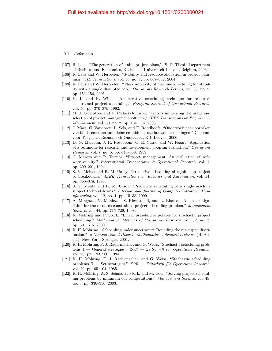- [107] R. Leus, "The generation of stable project plans," Ph.D. Thesis, Department of Business and Economics, Katholieke Universiteit Leuven, Belgium, 2003.
- [108] R. Leus and W. Herroelen, "Stability and resource allocation in project planning," IIE Transactions, vol. 36, no. 7, pp. 667–682, 2004.
- [109] R. Leus and W. Herroelen, "The complexity of machine scheduling for stability with a single disrupted job," Operations Research Letters, vol. 33, no. 2, pp. 151–156, 2005.
- [110] K. Li and R. Willis, "An iterative scheduling technique for resourceconstrained project scheduling," European Journal of Operational Research, vol. 56, pp. 370–379, 1992.
- [111] M. J. Liberatore and B. Pollack-Johnson, "Factors influencing the usage and selection of project management software," IEEE Transactions on Engineering Management, vol. 50, no. 2, pp. 164–174, 2003.
- [112] J. Maes, C. Vandoren, L. Sels, and F. Roodhooft, "Onderzoek naar oorzaken van faillissementen van kleine en middelgrote bouwondernemingen," Centrum voor Toegepast Economisch Onderzoek, K.U.Leuven, 2000.
- <span id="page-23-2"></span>[113] D. G. Malcolm, J. H. Roseboom, C. E. Clark, and W. Fazar, "Application of a technique for research and development program evaluation," Operations Research, vol. 7, no. 5, pp. 646–669, 1959.
- <span id="page-23-1"></span>[114] C. Maroto and P. Tormos, "Project management: An evaluation of software quality," International Transactions in Operational Research, vol. 1, pp. 209–221, 1994.
- [115] S. V. Mehta and R. M. Uzsoy, "Predictive scheduling of a job shop subject to breakdowns," IEEE Transactions on Robotics and Automation, vol. 14, pp. 365–378, 1998.
- <span id="page-23-0"></span>[116] S. V. Mehta and R. M. Uzsoy, "Predictive scheduling of a single machine subject to breakdowns," International Journal of Computer Integrated Manufacturing, vol. 12, no. 1, pp. 15–38, 1999.
- [117] A. Mingozzi, V. Maniezzo, S. Ricciardelli, and L. Bianco, "An exact algorithm for the resource-constrained project scheduling problem," Management Science, vol. 44, pp. 715–729, 1998.
- [118] R. Möhring and F. Stork, "Linear preselective policies for stochastic project scheduling," Mathematical Methods of Operations Research, vol. 52, no. 3, pp. 501–515, 2000.
- [119] R. H. Möhring, "Scheduling under uncertainty: Bounding the makespan distribution," in Computational Discrete Mathematics: Advanced Lectures, (H. Alt, ed.), New York: Springer, 2001.
- [120] R. H. Möhring, F. J. Radermacher, and G. Weiss, "Stochastic scheduling problems 1 — General strategies,"  $ZOR$  — Zeitschrift für Operations Research, vol. 28, pp. 193–260, 1984.
- [121] R. H. Möhring, F. J. Radermacher, and G. Weiss, "Stochastic scheduling problems II — Set strategies,"  $ZOR$  — Zeitschrift für Operations Research, vol. 29, pp. 65–104, 1985.
- [122] R. H. Möhring, A. S. Schulz, F. Stork, and M. Uetz, "Solving project scheduling problems by minimum cut computations," Management Science, vol. 49, no. 3, pp. 330–350, 2003.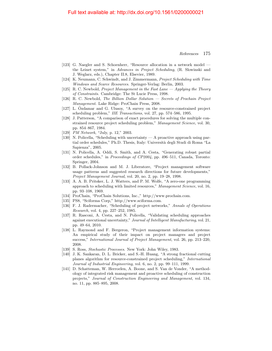- [123] G. Naegler and S. Schoenherr, "Resource allocation in a network model the Leinet system," in Advances in Project Scheduling, (R. Slowinski and J. Weglarz, eds.), Chapter II.8, Elsevier, 1989.
- <span id="page-24-0"></span>[124] K. Neumann, C. Schwindt, and J. Zimmermann, Project Scheduling with Time Windows and Scarce Resources. Springer-Verlag: Berlin, 2003.
- [125] R. C. Newbold, Project Management in the Fast Lane Applying the Theory of Constraints. Cambridge: The St Lucie Press, 1998.
- [126] R. C. Newbold, The Billion Dollar Solution Secrets of Prochain Project Management. Lake Ridge: ProChain Press, 2008.
- <span id="page-24-1"></span> $[127]$  L. Ozdamar and G. Ulusoy, "A survey on the resource-constrained project scheduling problem," IIE Transactions, vol. 27, pp. 574–586, 1995.
- [128] J. Patterson, "A comparison of exact procedures for solving the multiple constrained resource project scheduling problem," Management Science, vol. 30, pp. 854–867, 1984.
- [129] *PM Network*, "July, p. 12," 2003.
- [130] N. Policella, "Scheduling with uncertainty A proactive approach using partial order schedules," Ph.D. Thesis, Italy: Università degli Studi di Roma "La Sapienza", 2005.
- [131] N. Policella, A. Oddi, S. Smith, and A. Cesta, "Generating robust partial order schedules," in Proceedings of CP2004, pp. 496–511, Canada, Toronto: Springer, 2004.
- [132] B. Pollack-Johnson and M. J. Liberatore, "Project management software usage patterns and suggested research directions for future developments," Project Management Journal, vol. 20, no. 2, pp. 19–28, 1998.
- [133] A. A. B. Pritsker, L. J. Watters, and P. M. Wolfe, "A zero-one programming approach to scheduling with limited resources," Management Science, vol. 16, pp. 93–108, 1969.
- [134] ProChain, "ProChain Solutions, Inc.," http://www.prochain.com.
- [135] PS8, "Sciforma Corp," http://www.sciforma.com.
- [136] F. J. Radermacher, "Scheduling of project networks," Annals of Operations Research, vol. 4, pp. 227–252, 1985.
- [137] R. Rasconi, A. Cesta, and N. Policella, "Validating scheduling approaches against executional uncertainty," Journal of Intelligent Manufacturing, vol. 21, pp. 49–64, 2010.
- [138] L. Raymond and F. Bergeron, "Project management information systems: An empirical study of their impact on project managers and project success," International Journal of Project Management, vol. 26, pp. 213–220, 2008.
- [139] S. Ross, *Stochastic Processes*. New York: John Wiley, 1983.
- [140] J. K. Sankaran, D. L. Bricker, and S.-H. Huang, "A strong fractional cutting planes algorithm for resource-constrained project scheduling," International Journal of Industrial Engineering, vol. 6, no. 2, pp. 99–111, 1999.
- [141] D. Schatteman, W. Herroelen, A. Boone, and S. Van de Vonder, "A methodology of integrated risk management and proactive scheduling of construction projects," Journal of Construction Engineering and Management, vol. 134, no. 11, pp. 885–895, 2008.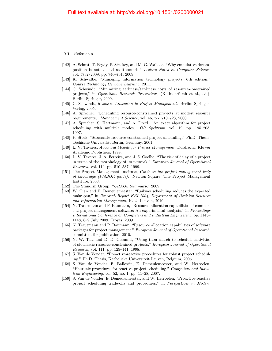- [142] A. Schutt, T. Feydy, P. Stuckey, and M. G. Wallace, "Why cumulative decomposition is not as bad as it sounds," Lecture Notes in Computer Science, vol. 5732/2009, pp. 746–761, 2009.
- [143] K. Schwalbe, "Managing information technology projects, 6th edition," Course Technology Cengage Learning, 2011.
- [144] C. Schwindt, "Minimizing earliness/tardiness costs of resource-constrained projects," in Operations Research Proceedings, (K. Inderfurth et al., ed.), Berlin: Springer, 2000.
- <span id="page-25-0"></span>[145] C. Schwindt, Resource Allocation in Project Management. Berlin: Springer-Verlag, 2005.
- [146] A. Sprecher, "Scheduling resource-constrained projects at modest resource requirements," Management Science, vol. 46, pp. 710–723, 2000.
- [147] A. Sprecher, S. Hartmann, and A. Drexl, "An exact algorithm for project scheduling with multiple modes," OR Spektrum, vol. 19, pp. 195–203, 1997.
- [148] F. Stork, "Stochastic resource-constrained project scheduling," Ph.D. Thesis, Techische Universität Berlin, Germany, 2001.
- [149] L. V. Tavares, Advanced Models for Project Management. Dordrecht: Kluwer Academic Publishers, 1999.
- [150] L. V. Tavares, J. A. Ferreira, and J. S. Coelho, "The risk of delay of a project in terms of the morphology of its network," European Journal of Operational Research, vol. 119, pp. 510–537, 1999.
- [151] The Project Management Institute, Guide to the project management body of knowledge (PMBOK guide). Newton Square: The Project Management Institute, 2008.
- [152] The Standish Group, "CHAOS Summary," 2009.
- [153] W. Tian and E. Demeulemeester, "Railway scheduling reduces the expected makespan," in Research Report KBI 1004, Department of Decision Sciences and Information Management, K. U. Leuven, 2010.
- <span id="page-25-1"></span>[154] N. Trautmann and P. Baumann, "Resource-allocation capabilities of commercial project management software: An experimental analysis," in Proceedings International Conference on Computers and Industrial Engineering, pp. 1143– 1148, 6–9 July 2009, Troyes, 2009.
- <span id="page-25-2"></span>[155] N. Trautmann and P. Baumann, "Resource allocation capabilities of software packages for project management," European Journal of Operational Research, submitted, for publication, 2010.
- [156] Y. W. Tsai and D. D. Gemmill, "Using tabu search to schedule activities of stochastic resource-constrained projects," European Journal of Operational Research, vol. 111, pp. 129–141, 1998.
- [157] S. Van de Vonder, "Proactive-reactive procedures for robust project scheduling," Ph.D. Thesis, Katholieke Universiteit Leuven, Belgium, 2006.
- [158] S. Van de Vonder, F. Ballestin, E. Demeulemeester, and W. Herroelen, "Heuristic procedures for reactive project scheduling," Computers and Industrial Engineering, vol. 52, no. 1, pp. 11–28, 2007.
- [159] S. Van de Vonder, E. Demeulemeester, and W. Herroelen, "Proactive-reactive project scheduling trade-offs and procedures," in Perspectives in Modern